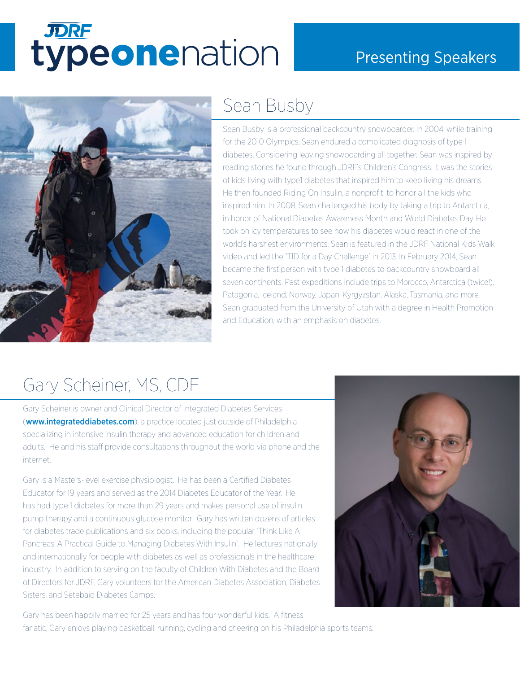# **TORE**<br>typeonenation

#### Presenting Speakers



#### Sean Busby

Sean Busby is a professional backcountry snowboarder. In 2004, while training for the 2010 Olympics, Sean endured a complicated diagnosis of type 1 diabetes. Considering leaving snowboarding all together, Sean was inspired by reading stories he found through JDRF's Children's Congress. It was the stories of kids living with type1 diabetes that inspired him to keep living his dreams. He then founded Riding On Insulin, a nonprofit, to honor all the kids who inspired him. In 2008, Sean challenged his body by taking a trip to Antarctica, in honor of National Diabetes Awareness Month and World Diabetes Day. He took on icy temperatures to see how his diabetes would react in one of the world's harshest environments. Sean is featured in the JDRF National Kids Walk video and led the "T1D for a Day Challenge" in 2013. In February 2014, Sean became the first person with type 1 diabetes to backcountry snowboard all seven continents. Past expeditions include trips to Morocco, Antarctica (twice!), Patagonia, Iceland, Norway, Japan, Kyrgyzstan, Alaska, Tasmania, and more. Sean graduated from the University of Utah with a degree in Health Promotion and Education, with an emphasis on diabetes.

### Gary Scheiner, MS, CDE

Gary Scheiner is owner and Clinical Director of Integrated Diabetes Services (**<www.integrateddiabetes.com>**), a practice located just outside of Philadelphia specializing in intensive insulin therapy and advanced education for children and adults. He and his staff provide consultations throughout the world via phone and the internet.

Gary is a Masters-level exercise physiologist. He has been a Certified Diabetes Educator for 19 years and served as the 2014 Diabetes Educator of the Year. He has had type 1 diabetes for more than 29 years and makes personal use of insulin pump therapy and a continuous glucose monitor. Gary has written dozens of articles for diabetes trade publications and six books, including the popular "Think Like A Pancreas-A Practical Guide to Managing Diabetes With Insulin". He lectures nationally and internationally for people with diabetes as well as professionals in the healthcare industry. In addition to serving on the faculty of Children With Diabetes and the Board of Directors for JDRF, Gary volunteers for the American Diabetes Association, Diabetes Sisters, and Setebaid Diabetes Camps.

Gary has been happily married for 25 years and has four wonderful kids. A fitness fanatic, Gary enjoys playing basketball, running, cycling and cheering on his Philadelphia sports teams.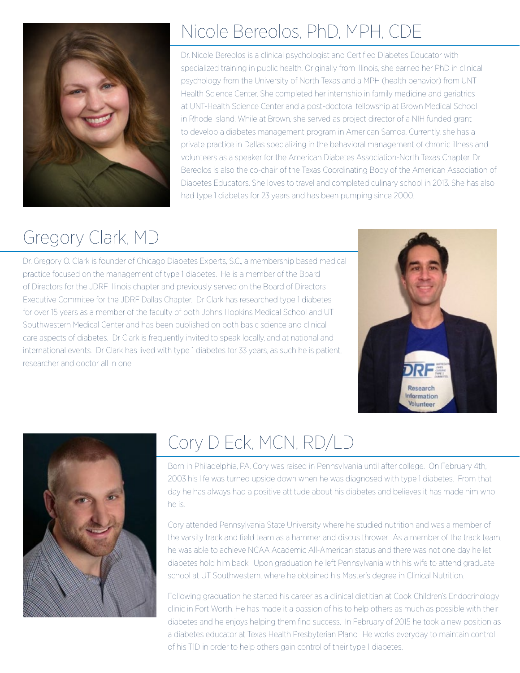

## Nicole Bereolos, PhD, MPH, CDE

Dr. Nicole Bereolos is a clinical psychologist and Certified Diabetes Educator with specialized training in public health. Originally from Illinois, she earned her PhD in clinical psychology from the University of North Texas and a MPH (health behavior) from UNT-Health Science Center. She completed her internship in family medicine and geriatrics at UNT-Health Science Center and a post-doctoral fellowship at Brown Medical School in Rhode Island. While at Brown, she served as project director of a NIH funded grant to develop a diabetes management program in American Samoa. Currently, she has a private practice in Dallas specializing in the behavioral management of chronic illness and volunteers as a speaker for the American Diabetes Association-North Texas Chapter. Dr Bereolos is also the co-chair of the Texas Coordinating Body of the American Association of Diabetes Educators. She loves to travel and completed culinary school in 2013. She has also had type 1 diabetes for 23 years and has been pumping since 2000.

# Gregory Clark, MD

Dr. Gregory O. Clark is founder of Chicago Diabetes Experts, S.C., a membership based medical practice focused on the management of type 1 diabetes. He is a member of the Board of Directors for the JDRF Illinois chapter and previously served on the Board of Directors Executive Commitee for the JDRF Dallas Chapter. Dr Clark has researched type 1 diabetes for over 15 years as a member of the faculty of both Johns Hopkins Medical School and UT Southwestern Medical Center and has been published on both basic science and clinical care aspects of diabetes. Dr Clark is frequently invited to speak locally, and at national and international events. Dr Clark has lived with type 1 diabetes for 33 years, as such he is patient, researcher and doctor all in one.





## Cory D Eck, MCN, RD/LD

Born in Philadelphia, PA, Cory was raised in Pennsylvania until after college. On February 4th, 2003 his life was turned upside down when he was diagnosed with type 1 diabetes. From that day he has always had a positive attitude about his diabetes and believes it has made him who he is.

Cory attended Pennsylvania State University where he studied nutrition and was a member of the varsity track and field team as a hammer and discus thrower. As a member of the track team, he was able to achieve NCAA Academic All-American status and there was not one day he let diabetes hold him back. Upon graduation he left Pennsylvania with his wife to attend graduate school at UT Southwestern, where he obtained his Master's degree in Clinical Nutrition.

Following graduation he started his career as a clinical dietitian at Cook Children's Endocrinology clinic in Fort Worth. He has made it a passion of his to help others as much as possible with their diabetes and he enjoys helping them find success. In February of 2015 he took a new position as a diabetes educator at Texas Health Presbyterian Plano. He works everyday to maintain control of his T1D in order to help others gain control of their type 1 diabetes.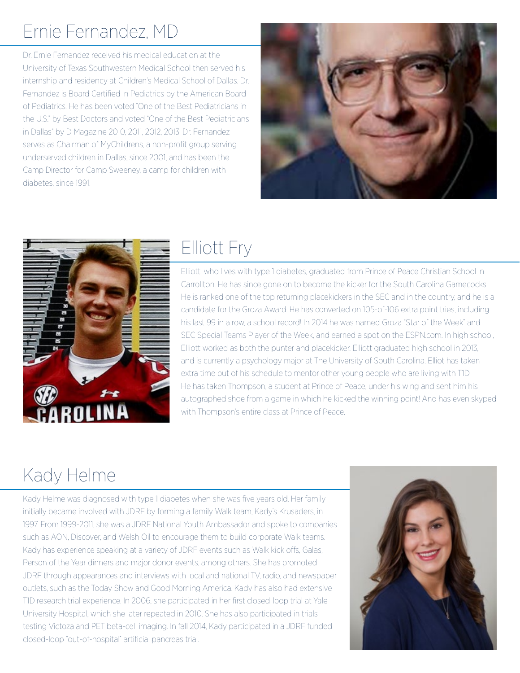## Ernie Fernandez, MD

Dr. Ernie Fernandez received his medical education at the University of Texas Southwestern Medical School then served his internship and residency at Children's Medical School of Dallas. Dr. Fernandez is Board Certified in Pediatrics by the American Board of Pediatrics. He has been voted "One of the Best Pediatricians in the U.S." by Best Doctors and voted "One of the Best Pediatricians in Dallas" by D Magazine 2010, 2011, 2012, 2013. Dr. Fernandez serves as Chairman of MyChildrens, a non-profit group serving underserved children in Dallas, since 2001, and has been the Camp Director for Camp Sweeney, a camp for children with diabetes, since 1991.





#### Elliott Fry

Elliott, who lives with type 1 diabetes, graduated from Prince of Peace Christian School in Carrollton. He has since gone on to become the kicker for the South Carolina Gamecocks. He is ranked one of the top returning placekickers in the SEC and in the country, and he is a candidate for the Groza Award. He has converted on 105-of-106 extra point tries, including his last 99 in a row, a school record! In 2014 he was named Groza "Star of the Week" and SEC Special Teams Player of the Week, and earned a spot on the ESPN.com. In high school, Elliott worked as both the punter and placekicker. Elliott graduated high school in 2013, and is currently a psychology major at The University of South Carolina. Elliot has taken extra time out of his schedule to mentor other young people who are living with T1D. He has taken Thompson, a student at Prince of Peace, under his wing and sent him his autographed shoe from a game in which he kicked the winning point! And has even skyped with Thompson's entire class at Prince of Peace.

## Kady Helme

Kady Helme was diagnosed with type 1 diabetes when she was five years old. Her family initially became involved with JDRF by forming a family Walk team, Kady's Krusaders, in 1997. From 1999-2011, she was a JDRF National Youth Ambassador and spoke to companies such as AON, Discover, and Welsh Oil to encourage them to build corporate Walk teams. Kady has experience speaking at a variety of JDRF events such as Walk kick offs, Galas, Person of the Year dinners and major donor events, among others. She has promoted JDRF through appearances and interviews with local and national TV, radio, and newspaper outlets, such as the Today Show and Good Morning America. Kady has also had extensive T1D research trial experience. In 2006, she participated in her first closed-loop trial at Yale University Hospital, which she later repeated in 2010. She has also participated in trials testing Victoza and PET beta-cell imaging. In fall 2014, Kady participated in a JDRF funded closed-loop "out-of-hospital" artificial pancreas trial.

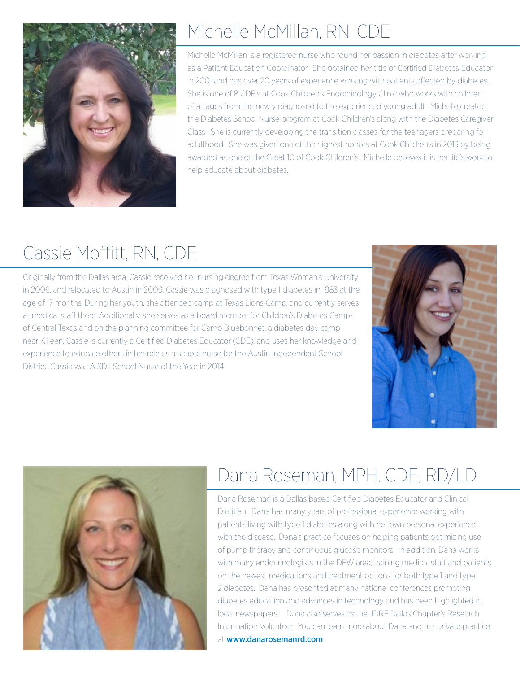

## Michelle McMillan, RN, CDE

Michelle McMillan is a registered nurse who found her passion in diabetes after working as a Patient Education Coordinator. She obtained her title of Certified Diabetes Educator in 2001 and has over 20 years of experience working with patients affected by diabetes. She is one of 8 CDE's at Cook Children's Endocrinology Clinic who works with children of all ages from the newly diagnosed to the experienced young adult. Michelle created the Diabetes School Nurse program at Cook Children's along with the Diabetes Caregiver Class. She is currently developing the transition classes for the teenagers preparing for adulthood. She was given one of the highest honors at Cook Children's in 2013 by being awarded as one of the Great 10 of Cook Children's. Michelle believes it is her life's work to help educate about diabetes.

# Cassie Moffitt, RN, CDE

Originally from the Dallas area, Cassie received her nursing degree from Texas Woman's University in 2006, and relocated to Austin in 2009. Cassie was diagnosed with type 1 diabetes in 1983 at the age of 17 months. During her youth, she attended camp at Texas Lions Camp, and currently serves at medical staff there. Additionally, she serves as a board member for Children's Diabetes Camps of Central Texas and on the planning committee for Camp Bluebonnet, a diabetes day camp near Killeen. Cassie is currently a Certified Diabetes Educator (CDE), and uses her knowledge and experience to educate others in her role as a school nurse for the Austin Independent School District. Cassie was AISDs School Nurse of the Year in 2014.





# Dana Roseman, MPH, CDE, RD/LD

Dana Roseman is a Dallas based Certified Diabetes Educator and Clinical Dietitian. Dana has many years of professional experience working with patients living with type 1 diabetes along with her own personal experience with the disease. Dana's practice focuses on helping patients optimizing use of pump therapy and continuous glucose monitors. In addition, Dana works with many endocrinologists in the DFW area, training medical staff and patients on the newest medications and treatment options for both type 1 and type 2 diabetes. Dana has presented at many national conferences promoting diabetes education and advances in technology and has been highlighted in local newspapers. Dana also serves as the JDRF Dallas Chapter's Research Information Volunteer. You can learn more about Dana and her private practice at <www.danarosemanrd.com>.